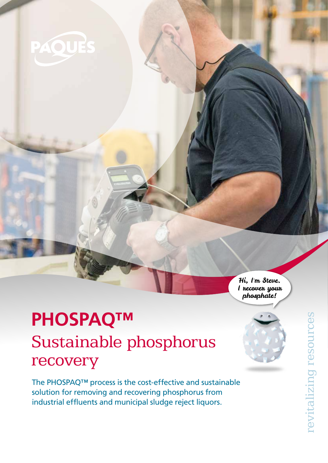

Hi, I'm Steve. I recover your phosphate!

# Sustainable phosphorus recovery **PHOSPAQ™**

The PHOSPAQ™ process is the cost-effective and sustainable solution for removing and recovering phosphorus from industrial effluents and municipal sludge reject liquors.

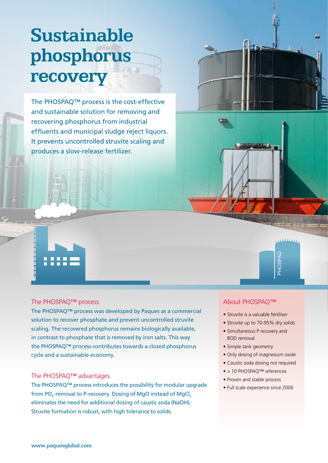# **Sustainable phosphorus recovery**

The PHOSPAQ™ process is the cost-effective and sustainable solution for removing and recovering phosphorus from industrial effluents and municipal sludge reject liquors. It prevents uncontrolled struvite scaling and produces a slow-release fertilizer.

#### The PHOSPAQ™ process

::::

The PHOSPAQ™ process was developed by Paques as a commercial solution to recover phosphate and prevent uncontrolled struvite scaling. The recovered phosphorus remains biologically available, in contrast to phosphate that is removed by iron salts. This way the PHOSPAQ™ process contributes towards a closed phosphorus cycle and a sustainable economy.

#### The PHOSPAQ™ advantages

The PHOSPAQ™ process introduces the possibility for modular upgrade from PO $_4$ -removal to P-recovery. Dosing of MgO instead of MgCl $_2$ eliminates the need for additional dosing of caustic soda (NaOH). Struvite formation is robust, with high tolerance to solids.

#### About PHOSPAQ™

- Struvite is a valuable fertiliser
- Struvite up to 70-95% dry solids

PHOSPAQ

**DARSOHS** 

**ALCOHOL** 

- Simultaneous P recovery and BOD removal
- Simple tank geometry
- Only dosing of magnesium oxide
- Caustic soda dosing not required
- > 10 PHOSPAQ™ references
- Proven and stable process
- Full scale experience since 2006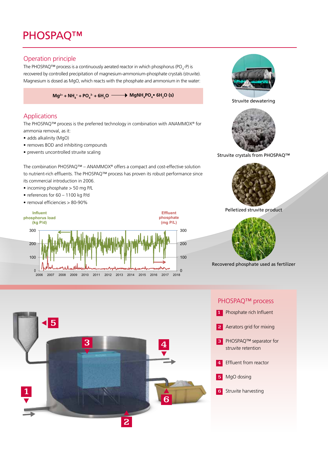# PHOSPAQ™

### Operation principle

The PHOSPAQ<sup>™</sup> process is a continuously aerated reactor in which phosphorus (PO<sub>4</sub>-P) is recovered by controlled precipitation of magnesium-ammonium-phosphate crystals (struvite). Magnesium is dosed as MgO, which reacts with the phosphate and ammonium in the water:

 $Mg^{2+} + NH_4^+ + PO_4^+ + 6H_2O \longrightarrow MgNH_4PO_4^+ 6H_2O (s)$ 

### Applications

The PHOSPAQ™ process is the preferred technology in combination with ANAMMOX® for ammonia removal, as it:

- adds alkalinity (MgO)
- removes BOD and inhibiting compounds
- prevents uncontrolled struvite scaling

The combination PHOSPAQ™ – ANAMMOX® offers a compact and cost-effective solution to nutrient-rich effluents. The PHOSPAQ™ process has proven its robust performance since its commercial introduction in 2006.

- incoming phosphate > 50 mg P/L
- references for 60 1100 kg P/d
- removal efficiencies > 80-90%





Struvite dewatering



#### Struvite crystals from PHOSPAQ™



Pelletized struvite product



Recovered phosphate used as fertilizer



#### PHOSPAQ™ process